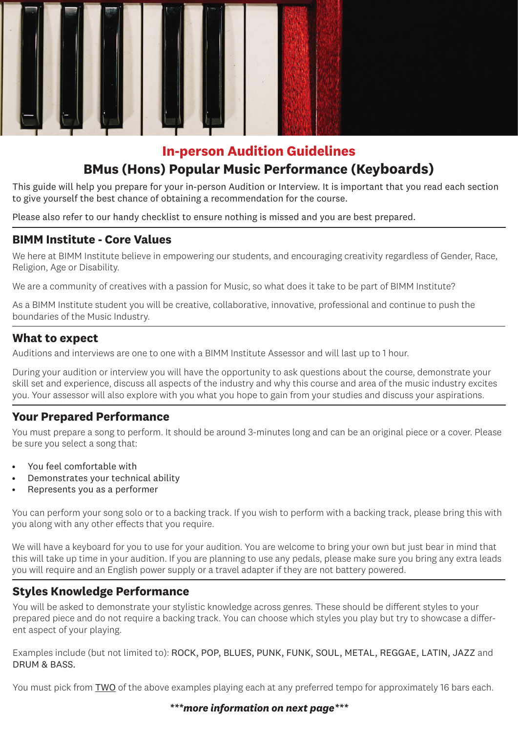

# **In-person Audition Guidelines BMus (Hons) Popular Music Performance (Keyboards)**

This guide will help you prepare for your in-person Audition or Interview. It is important that you read each section to give yourself the best chance of obtaining a recommendation for the course.

Please also refer to our handy checklist to ensure nothing is missed and you are best prepared.

# **BIMM Institute - Core Values**

We here at BIMM Institute believe in empowering our students, and encouraging creativity regardless of Gender, Race, Religion, Age or Disability.

We are a community of creatives with a passion for Music, so what does it take to be part of BIMM Institute?

As a BIMM Institute student you will be creative, collaborative, innovative, professional and continue to push the boundaries of the Music Industry.

## **What to expect**

Auditions and interviews are one to one with a BIMM Institute Assessor and will last up to 1 hour.

During your audition or interview you will have the opportunity to ask questions about the course, demonstrate your skill set and experience, discuss all aspects of the industry and why this course and area of the music industry excites you. Your assessor will also explore with you what you hope to gain from your studies and discuss your aspirations.

# **Your Prepared Performance**

You must prepare a song to perform. It should be around 3-minutes long and can be an original piece or a cover. Please be sure you select a song that:

- You feel comfortable with
- Demonstrates your technical ability
- Represents you as a performer

You can perform your song solo or to a backing track. If you wish to perform with a backing track, please bring this with you along with any other effects that you require.

We will have a keyboard for you to use for your audition. You are welcome to bring your own but just bear in mind that this will take up time in your audition. If you are planning to use any pedals, please make sure you bring any extra leads you will require and an English power supply or a travel adapter if they are not battery powered.

### **Styles Knowledge Performance**

You will be asked to demonstrate your stylistic knowledge across genres. These should be different styles to your prepared piece and do not require a backing track. You can choose which styles you play but try to showcase a different aspect of your playing.

Examples include (but not limited to): ROCK, POP, BLUES, PUNK, FUNK, SOUL, METAL, REGGAE, LATIN, JAZZ and DRUM & BASS.

You must pick from TWO of the above examples playing each at any preferred tempo for approximately 16 bars each.

#### *\*\*\*more information on next page\*\*\**